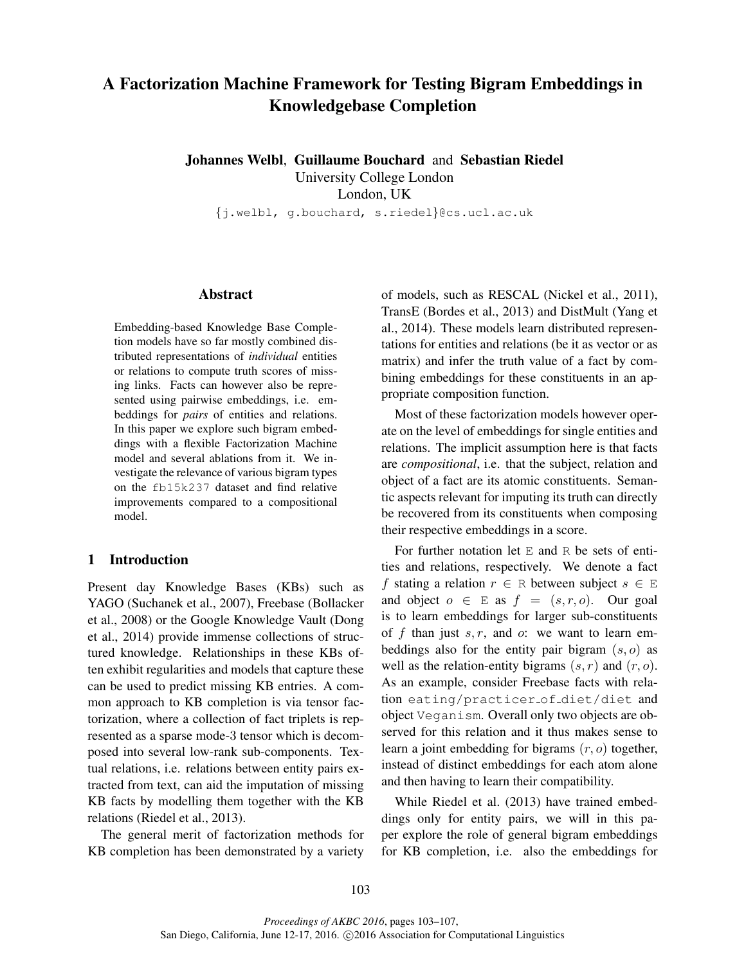# A Factorization Machine Framework for Testing Bigram Embeddings in Knowledgebase Completion

Johannes Welbl, Guillaume Bouchard and Sebastian Riedel

University College London London, UK

{j.welbl, g.bouchard, s.riedel}@cs.ucl.ac.uk

## Abstract

Embedding-based Knowledge Base Completion models have so far mostly combined distributed representations of *individual* entities or relations to compute truth scores of missing links. Facts can however also be represented using pairwise embeddings, i.e. embeddings for *pairs* of entities and relations. In this paper we explore such bigram embeddings with a flexible Factorization Machine model and several ablations from it. We investigate the relevance of various bigram types on the fb15k237 dataset and find relative improvements compared to a compositional model.

# 1 Introduction

Present day Knowledge Bases (KBs) such as YAGO (Suchanek et al., 2007), Freebase (Bollacker et al., 2008) or the Google Knowledge Vault (Dong et al., 2014) provide immense collections of structured knowledge. Relationships in these KBs often exhibit regularities and models that capture these can be used to predict missing KB entries. A common approach to KB completion is via tensor factorization, where a collection of fact triplets is represented as a sparse mode-3 tensor which is decomposed into several low-rank sub-components. Textual relations, i.e. relations between entity pairs extracted from text, can aid the imputation of missing KB facts by modelling them together with the KB relations (Riedel et al., 2013).

The general merit of factorization methods for KB completion has been demonstrated by a variety

of models, such as RESCAL (Nickel et al., 2011), TransE (Bordes et al., 2013) and DistMult (Yang et al., 2014). These models learn distributed representations for entities and relations (be it as vector or as matrix) and infer the truth value of a fact by combining embeddings for these constituents in an appropriate composition function.

Most of these factorization models however operate on the level of embeddings for single entities and relations. The implicit assumption here is that facts are *compositional*, i.e. that the subject, relation and object of a fact are its atomic constituents. Semantic aspects relevant for imputing its truth can directly be recovered from its constituents when composing their respective embeddings in a score.

For further notation let  $E$  and  $R$  be sets of entities and relations, respectively. We denote a fact f stating a relation  $r \in R$  between subject  $s \in E$ and object  $o \in E$  as  $f = (s, r, o)$ . Our goal is to learn embeddings for larger sub-constituents of f than just  $s, r$ , and  $\alpha$ : we want to learn embeddings also for the entity pair bigram  $(s, o)$  as well as the relation-entity bigrams  $(s, r)$  and  $(r, o)$ . As an example, consider Freebase facts with relation eating/practicer of diet/diet and object Veganism. Overall only two objects are observed for this relation and it thus makes sense to learn a joint embedding for bigrams  $(r, o)$  together, instead of distinct embeddings for each atom alone and then having to learn their compatibility.

While Riedel et al. (2013) have trained embeddings only for entity pairs, we will in this paper explore the role of general bigram embeddings for KB completion, i.e. also the embeddings for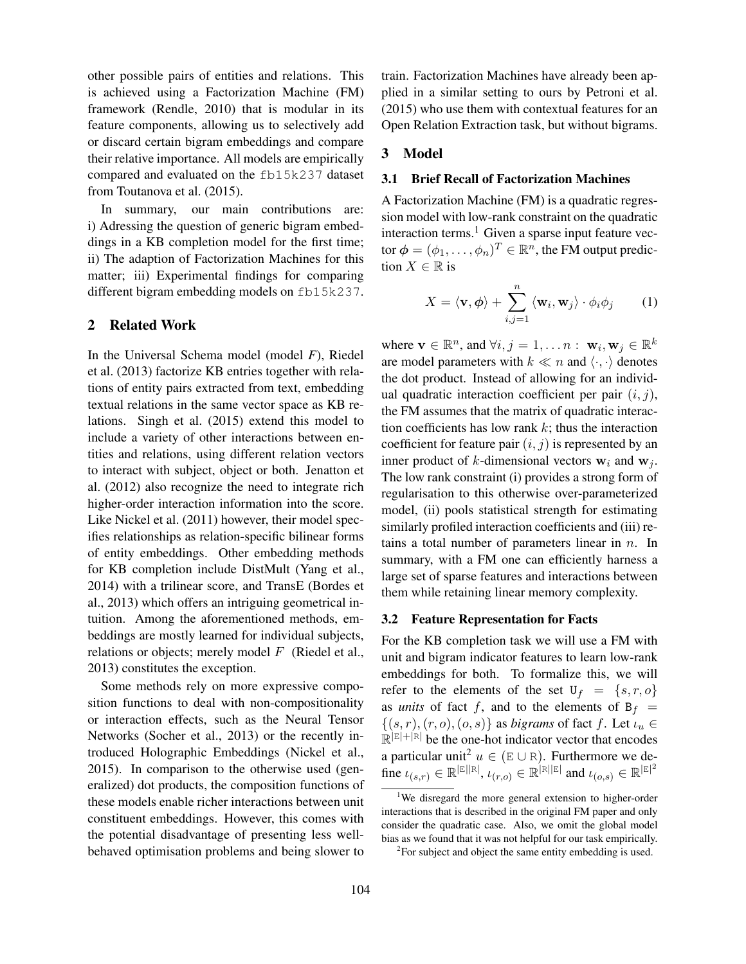other possible pairs of entities and relations. This is achieved using a Factorization Machine (FM) framework (Rendle, 2010) that is modular in its feature components, allowing us to selectively add or discard certain bigram embeddings and compare their relative importance. All models are empirically compared and evaluated on the fb15k237 dataset from Toutanova et al. (2015).

In summary, our main contributions are: i) Adressing the question of generic bigram embeddings in a KB completion model for the first time; ii) The adaption of Factorization Machines for this matter; iii) Experimental findings for comparing different bigram embedding models on fb15k237.

## 2 Related Work

In the Universal Schema model (model *F*), Riedel et al. (2013) factorize KB entries together with relations of entity pairs extracted from text, embedding textual relations in the same vector space as KB relations. Singh et al. (2015) extend this model to include a variety of other interactions between entities and relations, using different relation vectors to interact with subject, object or both. Jenatton et al. (2012) also recognize the need to integrate rich higher-order interaction information into the score. Like Nickel et al. (2011) however, their model specifies relationships as relation-specific bilinear forms of entity embeddings. Other embedding methods for KB completion include DistMult (Yang et al., 2014) with a trilinear score, and TransE (Bordes et al., 2013) which offers an intriguing geometrical intuition. Among the aforementioned methods, embeddings are mostly learned for individual subjects, relations or objects; merely model  $F$  (Riedel et al., 2013) constitutes the exception.

Some methods rely on more expressive composition functions to deal with non-compositionality or interaction effects, such as the Neural Tensor Networks (Socher et al., 2013) or the recently introduced Holographic Embeddings (Nickel et al., 2015). In comparison to the otherwise used (generalized) dot products, the composition functions of these models enable richer interactions between unit constituent embeddings. However, this comes with the potential disadvantage of presenting less wellbehaved optimisation problems and being slower to

train. Factorization Machines have already been applied in a similar setting to ours by Petroni et al. (2015) who use them with contextual features for an Open Relation Extraction task, but without bigrams.

## 3 Model

#### 3.1 Brief Recall of Factorization Machines

A Factorization Machine (FM) is a quadratic regression model with low-rank constraint on the quadratic interaction terms.<sup>1</sup> Given a sparse input feature vector  $\boldsymbol{\phi} = (\phi_1, \dots, \phi_n)^T \in \mathbb{R}^n$ , the FM output prediction  $X \in \mathbb{R}$  is

$$
X = \langle \mathbf{v}, \phi \rangle + \sum_{i,j=1}^{n} \langle \mathbf{w}_i, \mathbf{w}_j \rangle \cdot \phi_i \phi_j \qquad (1)
$$

where  $\mathbf{v} \in \mathbb{R}^n$ , and  $\forall i, j = 1, \dots n : \mathbf{w}_i, \mathbf{w}_j \in \mathbb{R}^k$ are model parameters with  $k \ll n$  and  $\langle \cdot, \cdot \rangle$  denotes the dot product. Instead of allowing for an individual quadratic interaction coefficient per pair  $(i, j)$ , the FM assumes that the matrix of quadratic interaction coefficients has low rank  $k$ ; thus the interaction coefficient for feature pair  $(i, j)$  is represented by an inner product of k-dimensional vectors  $w_i$  and  $w_j$ . The low rank constraint (i) provides a strong form of regularisation to this otherwise over-parameterized model, (ii) pools statistical strength for estimating similarly profiled interaction coefficients and (iii) retains a total number of parameters linear in  $n$ . In summary, with a FM one can efficiently harness a large set of sparse features and interactions between them while retaining linear memory complexity.

#### 3.2 Feature Representation for Facts

For the KB completion task we will use a FM with unit and bigram indicator features to learn low-rank embeddings for both. To formalize this, we will refer to the elements of the set  $U_f = \{s, r, o\}$ as *units* of fact f, and to the elements of  $B_f$  =  $\{(s, r), (r, o), (o, s)\}\$ as *bigrams* of fact f. Let  $\iota_u \in$  $\mathbb{R}^{|\mathbb{E}|+|\mathbb{R}|}$  be the one-hot indicator vector that encodes a particular unit<sup>2</sup>  $u \in (E \cup R)$ . Furthermore we define  $\iota_{(s,r)} \in \mathbb{R}^{|\mathbb{E}||\mathbb{R}|}, \iota_{(r,o)} \in \mathbb{R}^{|\mathbb{R}||\mathbb{E}|}$  and  $\iota_{(o,s)} \in \mathbb{R}^{|\mathbb{E}|^2}$ 

<sup>&</sup>lt;sup>1</sup>We disregard the more general extension to higher-order interactions that is described in the original FM paper and only consider the quadratic case. Also, we omit the global model bias as we found that it was not helpful for our task empirically.

 ${}^{2}$ For subject and object the same entity embedding is used.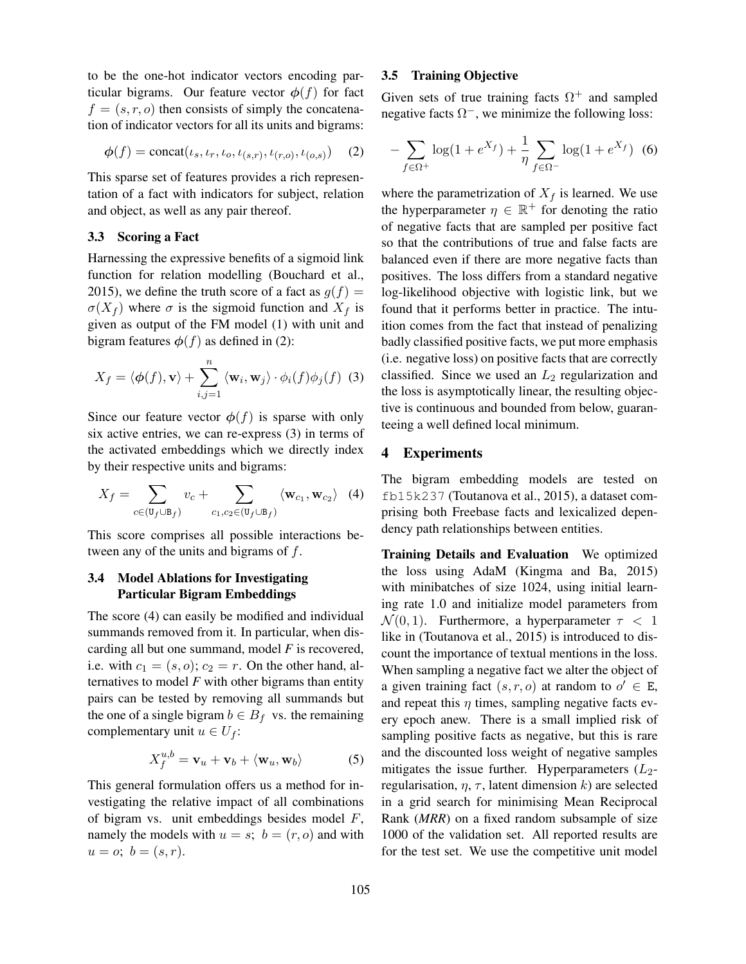to be the one-hot indicator vectors encoding particular bigrams. Our feature vector  $\phi(f)$  for fact  $f = (s, r, o)$  then consists of simply the concatenation of indicator vectors for all its units and bigrams:

$$
\phi(f) = \text{concat}(\iota_s, \iota_r, \iota_o, \iota_{(s,r)}, \iota_{(r,o)}, \iota_{(o,s)}) \quad (2)
$$

This sparse set of features provides a rich representation of a fact with indicators for subject, relation and object, as well as any pair thereof.

#### 3.3 Scoring a Fact

Harnessing the expressive benefits of a sigmoid link function for relation modelling (Bouchard et al., 2015), we define the truth score of a fact as  $g(f) =$  $\sigma(X_f)$  where  $\sigma$  is the sigmoid function and  $X_f$  is given as output of the FM model (1) with unit and bigram features  $\phi(f)$  as defined in (2):

$$
X_f = \langle \phi(f), \mathbf{v} \rangle + \sum_{i,j=1}^n \langle \mathbf{w}_i, \mathbf{w}_j \rangle \cdot \phi_i(f) \phi_j(f) \tag{3}
$$

Since our feature vector  $\phi(f)$  is sparse with only six active entries, we can re-express (3) in terms of the activated embeddings which we directly index by their respective units and bigrams:

$$
X_f = \sum_{c \in (\mathbf{U}_f \cup \mathbf{B}_f)} v_c + \sum_{c_1, c_2 \in (\mathbf{U}_f \cup \mathbf{B}_f)} \langle \mathbf{w}_{c_1}, \mathbf{w}_{c_2} \rangle \tag{4}
$$

This score comprises all possible interactions between any of the units and bigrams of f.

# 3.4 Model Ablations for Investigating Particular Bigram Embeddings

The score (4) can easily be modified and individual summands removed from it. In particular, when discarding all but one summand, model *F* is recovered, i.e. with  $c_1 = (s, o)$ ;  $c_2 = r$ . On the other hand, alternatives to model *F* with other bigrams than entity pairs can be tested by removing all summands but the one of a single bigram  $b \in B_f$  vs. the remaining complementary unit  $u \in U_f$ :

$$
X_f^{u,b} = \mathbf{v}_u + \mathbf{v}_b + \langle \mathbf{w}_u, \mathbf{w}_b \rangle \tag{5}
$$

This general formulation offers us a method for investigating the relative impact of all combinations of bigram vs. unit embeddings besides model F, namely the models with  $u = s$ ;  $b = (r, o)$  and with  $u = 0; b = (s, r).$ 

## 3.5 Training Objective

Given sets of true training facts  $\Omega^+$  and sampled negative facts  $\Omega^-$ , we minimize the following loss:

$$
-\sum_{f \in \Omega^+} \log(1 + e^{X_f}) + \frac{1}{\eta} \sum_{f \in \Omega^-} \log(1 + e^{X_f}) \tag{6}
$$

where the parametrization of  $X_f$  is learned. We use the hyperparameter  $\eta \in \mathbb{R}^+$  for denoting the ratio of negative facts that are sampled per positive fact so that the contributions of true and false facts are balanced even if there are more negative facts than positives. The loss differs from a standard negative log-likelihood objective with logistic link, but we found that it performs better in practice. The intuition comes from the fact that instead of penalizing badly classified positive facts, we put more emphasis (i.e. negative loss) on positive facts that are correctly classified. Since we used an  $L_2$  regularization and the loss is asymptotically linear, the resulting objective is continuous and bounded from below, guaranteeing a well defined local minimum.

## 4 Experiments

The bigram embedding models are tested on fb15k237 (Toutanova et al., 2015), a dataset comprising both Freebase facts and lexicalized dependency path relationships between entities.

Training Details and Evaluation We optimized the loss using AdaM (Kingma and Ba, 2015) with minibatches of size 1024, using initial learning rate 1.0 and initialize model parameters from  $\mathcal{N}(0, 1)$ . Furthermore, a hyperparameter  $\tau < 1$ like in (Toutanova et al., 2015) is introduced to discount the importance of textual mentions in the loss. When sampling a negative fact we alter the object of a given training fact  $(s, r, o)$  at random to  $o' \in E$ , and repeat this  $\eta$  times, sampling negative facts every epoch anew. There is a small implied risk of sampling positive facts as negative, but this is rare and the discounted loss weight of negative samples mitigates the issue further. Hyperparameters  $(L_2$ regularisation,  $\eta$ ,  $\tau$ , latent dimension k) are selected in a grid search for minimising Mean Reciprocal Rank (*MRR*) on a fixed random subsample of size 1000 of the validation set. All reported results are for the test set. We use the competitive unit model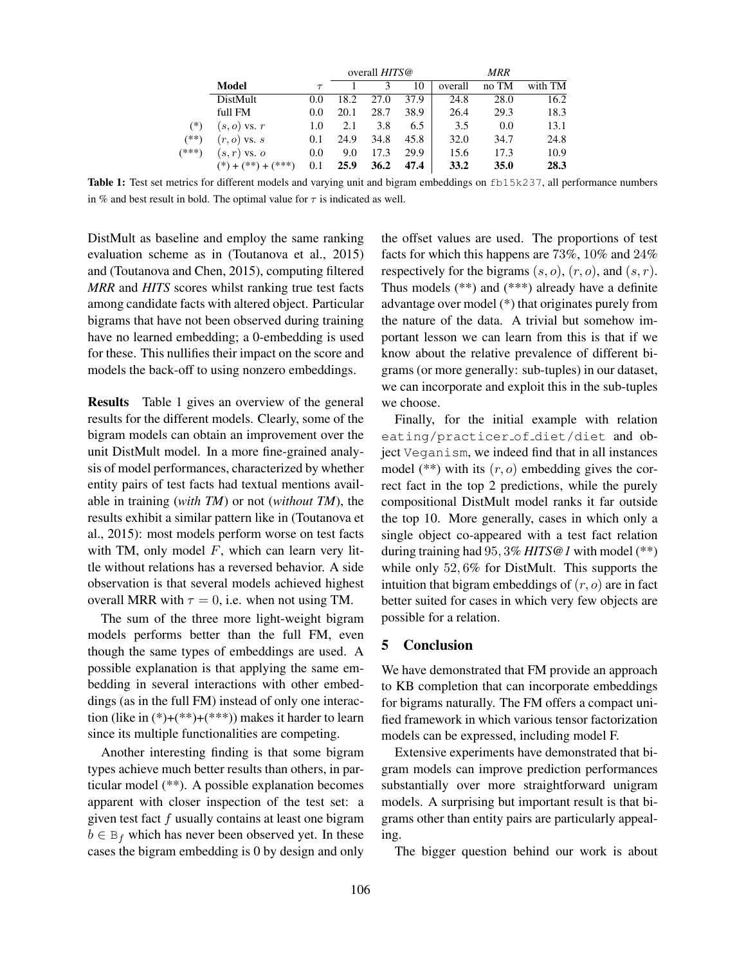|       |                                 |        | overall HITS@ |      |      | MRR     |       |         |
|-------|---------------------------------|--------|---------------|------|------|---------|-------|---------|
|       | Model                           | $\tau$ |               |      | 10   | overall | no TM | with TM |
|       | DistMult                        | 0.0    | 18.2          | 27.0 | 37.9 | 24.8    | 28.0  | 16.2    |
| $(*)$ | full FM                         | 0.0    | 20.1          | 28.7 | 38.9 | 26.4    | 29.3  | 18.3    |
|       | $(s, o)$ vs. $r$                | 1.0    | 2.1           | 3.8  | 6.5  | 3.5     | 0.0   | 13.1    |
| (**)  | $(r, o)$ vs. s                  | 0.1    | 24.9          | 34.8 | 45.8 | 32.0    | 34.7  | 24.8    |
| (***) | $(s,r)$ vs. $o$                 | 0.0    | 9.0           | 17.3 | 29.9 | 15.6    | 17.3  | 10.9    |
|       | $(*) + (**)$<br>$(1 + (1 + 4))$ | 0.1    | 25.9          | 36.2 | 47.4 | 33.2    | 35.0  | 28.3    |

Table 1: Test set metrics for different models and varying unit and bigram embeddings on fb15k237, all performance numbers in % and best result in bold. The optimal value for  $\tau$  is indicated as well.

DistMult as baseline and employ the same ranking evaluation scheme as in (Toutanova et al., 2015) and (Toutanova and Chen, 2015), computing filtered *MRR* and *HITS* scores whilst ranking true test facts among candidate facts with altered object. Particular bigrams that have not been observed during training have no learned embedding; a 0-embedding is used for these. This nullifies their impact on the score and models the back-off to using nonzero embeddings.

Results Table 1 gives an overview of the general results for the different models. Clearly, some of the bigram models can obtain an improvement over the unit DistMult model. In a more fine-grained analysis of model performances, characterized by whether entity pairs of test facts had textual mentions available in training (*with TM*) or not (*without TM*), the results exhibit a similar pattern like in (Toutanova et al., 2015): most models perform worse on test facts with TM, only model  $F$ , which can learn very little without relations has a reversed behavior. A side observation is that several models achieved highest overall MRR with  $\tau = 0$ , i.e. when not using TM.

The sum of the three more light-weight bigram models performs better than the full FM, even though the same types of embeddings are used. A possible explanation is that applying the same embedding in several interactions with other embeddings (as in the full FM) instead of only one interaction (like in  $(*)+(**+)(**))$  makes it harder to learn since its multiple functionalities are competing.

Another interesting finding is that some bigram types achieve much better results than others, in particular model (\*\*). A possible explanation becomes apparent with closer inspection of the test set: a given test fact  $f$  usually contains at least one bigram  $b \in B_f$  which has never been observed yet. In these cases the bigram embedding is 0 by design and only

the offset values are used. The proportions of test facts for which this happens are 73%, 10% and 24% respectively for the bigrams  $(s, o)$ ,  $(r, o)$ , and  $(s, r)$ . Thus models (\*\*) and (\*\*\*) already have a definite advantage over model (\*) that originates purely from the nature of the data. A trivial but somehow important lesson we can learn from this is that if we know about the relative prevalence of different bigrams (or more generally: sub-tuples) in our dataset, we can incorporate and exploit this in the sub-tuples we choose.

Finally, for the initial example with relation eating/practicer of diet/diet and object Veganism, we indeed find that in all instances model (\*\*) with its  $(r, o)$  embedding gives the correct fact in the top 2 predictions, while the purely compositional DistMult model ranks it far outside the top 10. More generally, cases in which only a single object co-appeared with a test fact relation during training had 95, 3% *HITS@1* with model (\*\*) while only 52, 6% for DistMult. This supports the intuition that bigram embeddings of  $(r, o)$  are in fact better suited for cases in which very few objects are possible for a relation.

## 5 Conclusion

We have demonstrated that FM provide an approach to KB completion that can incorporate embeddings for bigrams naturally. The FM offers a compact unified framework in which various tensor factorization models can be expressed, including model F.

Extensive experiments have demonstrated that bigram models can improve prediction performances substantially over more straightforward unigram models. A surprising but important result is that bigrams other than entity pairs are particularly appealing.

The bigger question behind our work is about